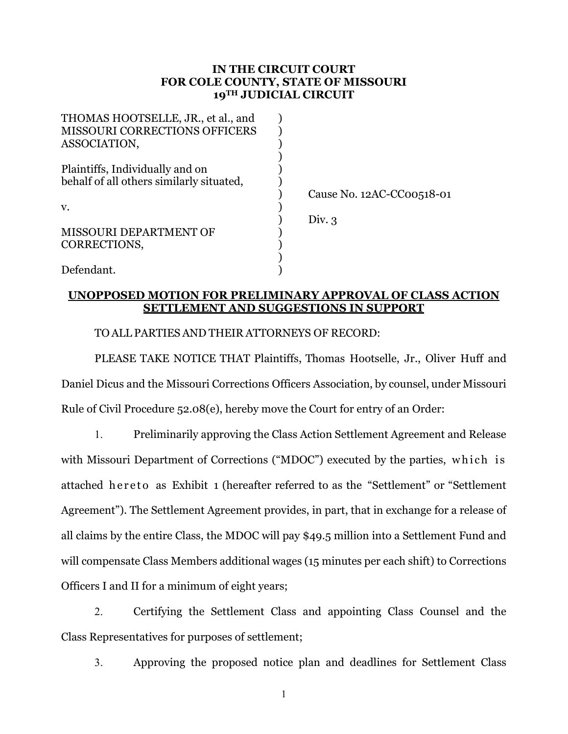## **IN THE CIRCUIT COURT FOR COLE COUNTY, STATE OF MISSOURI 19TH JUDICIAL CIRCUIT**

| THOMAS HOOTSELLE, JR., et al., and       |                           |
|------------------------------------------|---------------------------|
| MISSOURI CORRECTIONS OFFICERS            |                           |
| ASSOCIATION,                             |                           |
|                                          |                           |
| Plaintiffs, Individually and on          |                           |
| behalf of all others similarly situated, |                           |
|                                          | Cause No. 12AC-CC00518-01 |
| V.                                       |                           |
|                                          | Div. 3                    |
| MISSOURI DEPARTMENT OF                   |                           |
| CORRECTIONS,                             |                           |
|                                          |                           |
| Defendant.                               |                           |

# **UNOPPOSED MOTION FOR PRELIMINARY APPROVAL OF CLASS ACTION SETTLEMENT AND SUGGESTIONS IN SUPPORT**

TO ALL PARTIES AND THEIR ATTORNEYS OF RECORD:

PLEASE TAKE NOTICE THAT Plaintiffs, Thomas Hootselle, Jr., Oliver Huff and Daniel Dicus and the Missouri Corrections Officers Association, by counsel, under Missouri Rule of Civil Procedure 52.08(e), hereby move the Court for entry of an Order:

1. Preliminarily approving the Class Action Settlement Agreement and Release with Missouri Department of Corrections ("MDOC") executed by the parties, which is attached hereto as Exhibit 1 (hereafter referred to as the "Settlement" or "Settlement Agreement"). The Settlement Agreement provides, in part, that in exchange for a release of all claims by the entire Class, the MDOC will pay \$49.5 million into a Settlement Fund and will compensate Class Members additional wages (15 minutes per each shift) to Corrections Officers I and II for a minimum of eight years;

2. Certifying the Settlement Class and appointing Class Counsel and the Class Representatives for purposes of settlement;

3. Approving the proposed notice plan and deadlines for Settlement Class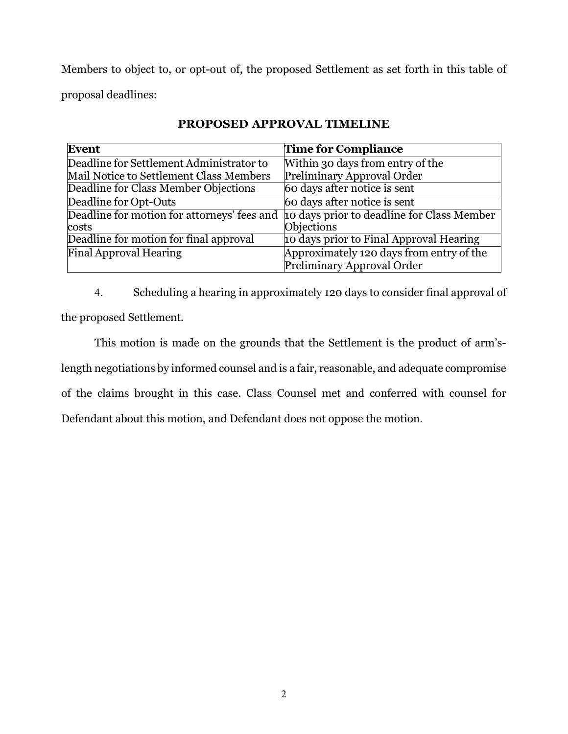Members to object to, or opt-out of, the proposed Settlement as set forth in this table of proposal deadlines:

| <b>Event</b>                                | <b>Time for Compliance</b>                 |
|---------------------------------------------|--------------------------------------------|
| Deadline for Settlement Administrator to    | Within 30 days from entry of the           |
| Mail Notice to Settlement Class Members     | Preliminary Approval Order                 |
| Deadline for Class Member Objections        | 60 days after notice is sent               |
| Deadline for Opt-Outs                       | 60 days after notice is sent               |
| Deadline for motion for attorneys' fees and | 10 days prior to deadline for Class Member |
| costs                                       | Objections                                 |
| Deadline for motion for final approval      | 10 days prior to Final Approval Hearing    |
| <b>Final Approval Hearing</b>               | Approximately 120 days from entry of the   |
|                                             | Preliminary Approval Order                 |

# **PROPOSED APPROVAL TIMELINE**

4. Scheduling a hearing in approximately 120 days to consider final approval of the proposed Settlement.

This motion is made on the grounds that the Settlement is the product of arm'slength negotiations by informed counsel and is a fair, reasonable, and adequate compromise of the claims brought in this case. Class Counsel met and conferred with counsel for Defendant about this motion, and Defendant does not oppose the motion.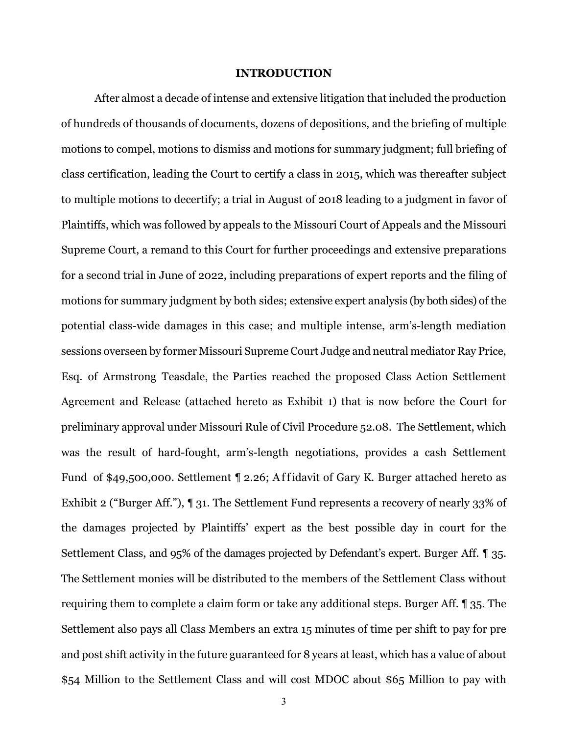#### **INTRODUCTION**

After almost a decade of intense and extensive litigation that included the production of hundreds of thousands of documents, dozens of depositions, and the briefing of multiple motions to compel, motions to dismiss and motions for summary judgment; full briefing of class certification, leading the Court to certify a class in 2015, which was thereafter subject to multiple motions to decertify; a trial in August of 2018 leading to a judgment in favor of Plaintiffs, which was followed by appeals to the Missouri Court of Appeals and the Missouri Supreme Court, a remand to this Court for further proceedings and extensive preparations for a second trial in June of 2022, including preparations of expert reports and the filing of motions for summary judgment by both sides; extensive expert analysis (by both sides) of the potential class-wide damages in this case; and multiple intense, arm's-length mediation sessions overseen by former Missouri Supreme Court Judge and neutral mediator Ray Price, Esq. of Armstrong Teasdale, the Parties reached the proposed Class Action Settlement Agreement and Release (attached hereto as Exhibit 1) that is now before the Court for preliminary approval under Missouri Rule of Civil Procedure 52.08. The Settlement, which was the result of hard-fought, arm's-length negotiations, provides a cash Settlement Fund of \$49,500,000. Settlement ¶ 2.26; Affidavit of Gary K. Burger attached hereto as Exhibit 2 ("Burger Aff."), ¶ 31. The Settlement Fund represents a recovery of nearly 33% of the damages projected by Plaintiffs' expert as the best possible day in court for the Settlement Class, and 95% of the damages projected by Defendant's expert. Burger Aff. ¶ 35. The Settlement monies will be distributed to the members of the Settlement Class without requiring them to complete a claim form or take any additional steps. Burger Aff. ¶ 35. The Settlement also pays all Class Members an extra 15 minutes of time per shift to pay for pre and post shift activity in the future guaranteed for 8 years at least, which has a value of about \$54 Million to the Settlement Class and will cost MDOC about \$65 Million to pay with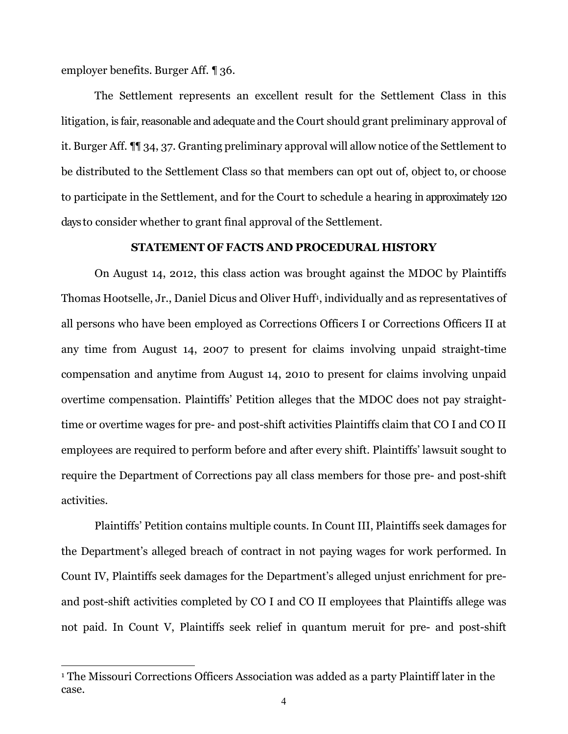employer benefits. Burger Aff. ¶ 36.

The Settlement represents an excellent result for the Settlement Class in this litigation, is fair, reasonable and adequate and the Court should grant preliminary approval of it. Burger Aff. ¶¶ 34, 37. Granting preliminary approval will allow notice of the Settlement to be distributed to the Settlement Class so that members can opt out of, object to, or choose to participate in the Settlement, and for the Court to schedule a hearing in approximately 120 days to consider whether to grant final approval of the Settlement.

#### **STATEMENT OF FACTS AND PROCEDURAL HISTORY**

On August 14, 2012, this class action was brought against the MDOC by Plaintiffs Thomas Hootselle, Jr., Daniel Dicus and Oliver Huff<sup>[1](#page-3-0)</sup>, individually and as representatives of all persons who have been employed as Corrections Officers I or Corrections Officers II at any time from August 14, 2007 to present for claims involving unpaid straight-time compensation and anytime from August 14, 2010 to present for claims involving unpaid overtime compensation. Plaintiffs' Petition alleges that the MDOC does not pay straighttime or overtime wages for pre- and post-shift activities Plaintiffs claim that CO I and CO II employees are required to perform before and after every shift. Plaintiffs' lawsuit sought to require the Department of Corrections pay all class members for those pre- and post-shift activities.

Plaintiffs' Petition contains multiple counts. In Count III, Plaintiffs seek damages for the Department's alleged breach of contract in not paying wages for work performed. In Count IV, Plaintiffs seek damages for the Department's alleged unjust enrichment for preand post-shift activities completed by CO I and CO II employees that Plaintiffs allege was not paid. In Count V, Plaintiffs seek relief in quantum meruit for pre- and post-shift

<span id="page-3-0"></span><sup>&</sup>lt;sup>1</sup> The Missouri Corrections Officers Association was added as a party Plaintiff later in the case.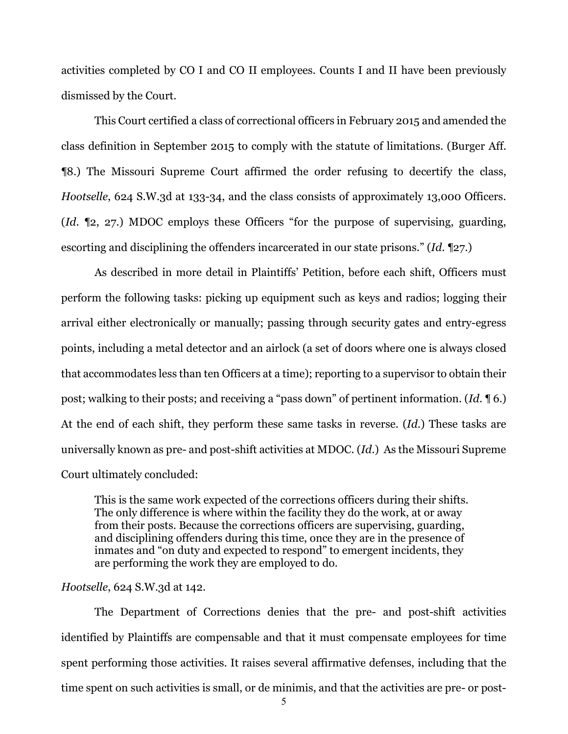activities completed by CO I and CO II employees. Counts I and II have been previously dismissed by the Court.

This Court certified a class of correctional officers in February 2015 and amended the class definition in September 2015 to comply with the statute of limitations. (Burger Aff. ¶8.) The Missouri Supreme Court affirmed the order refusing to decertify the class, *Hootselle*, 624 S.W.3d at 133-34, and the class consists of approximately 13,000 Officers. (*Id*. ¶2, 27.) MDOC employs these Officers "for the purpose of supervising, guarding, escorting and disciplining the offenders incarcerated in our state prisons." (*Id*. ¶27.)

As described in more detail in Plaintiffs' Petition, before each shift, Officers must perform the following tasks: picking up equipment such as keys and radios; logging their arrival either electronically or manually; passing through security gates and entry-egress points, including a metal detector and an airlock (a set of doors where one is always closed that accommodates less than ten Officers at a time); reporting to a supervisor to obtain their post; walking to their posts; and receiving a "pass down" of pertinent information. (*Id*. ¶ 6.) At the end of each shift, they perform these same tasks in reverse. (*Id*.) These tasks are universally known as pre- and post-shift activities at MDOC. (*Id*.) As the Missouri Supreme Court ultimately concluded:

This is the same work expected of the corrections officers during their shifts. The only difference is where within the facility they do the work, at or away from their posts. Because the corrections officers are supervising, guarding, and disciplining offenders during this time, once they are in the presence of inmates and "on duty and expected to respond" to emergent incidents, they are performing the work they are employed to do.

## *Hootselle*, 624 S.W.3d at 142.

The Department of Corrections denies that the pre- and post-shift activities identified by Plaintiffs are compensable and that it must compensate employees for time spent performing those activities. It raises several affirmative defenses, including that the time spent on such activities is small, or de minimis, and that the activities are pre- or post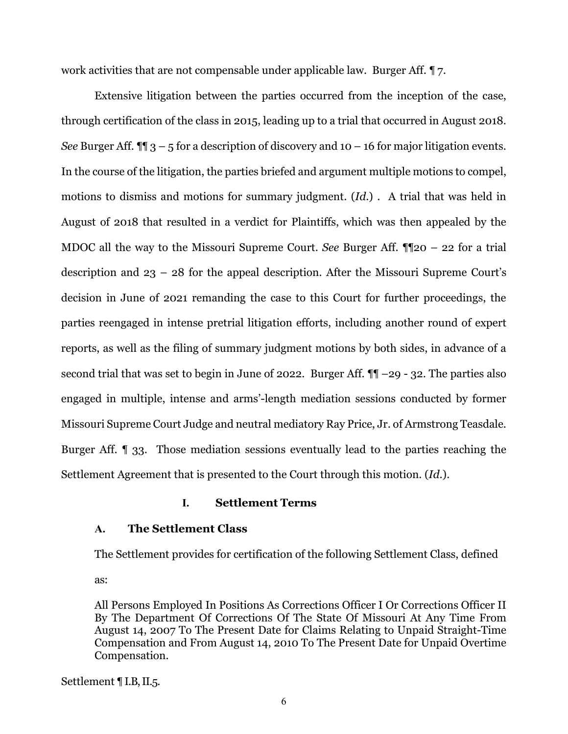work activities that are not compensable under applicable law. Burger Aff. ¶ 7.

Extensive litigation between the parties occurred from the inception of the case, through certification of the class in 2015, leading up to a trial that occurred in August 2018. *See* Burger Aff.  $\P$   $\uparrow$  3 – 5 for a description of discovery and 10 – 16 for major litigation events. In the course of the litigation, the parties briefed and argument multiple motions to compel, motions to dismiss and motions for summary judgment. (*Id*.) . A trial that was held in August of 2018 that resulted in a verdict for Plaintiffs, which was then appealed by the MDOC all the way to the Missouri Supreme Court. *See* Burger Aff. ¶¶20 – 22 for a trial description and 23 – 28 for the appeal description. After the Missouri Supreme Court's decision in June of 2021 remanding the case to this Court for further proceedings, the parties reengaged in intense pretrial litigation efforts, including another round of expert reports, as well as the filing of summary judgment motions by both sides, in advance of a second trial that was set to begin in June of 2022. Burger Aff.  $\P\P$  –29 - 32. The parties also engaged in multiple, intense and arms'-length mediation sessions conducted by former Missouri Supreme Court Judge and neutral mediatory Ray Price, Jr. of Armstrong Teasdale. Burger Aff. ¶ 33. Those mediation sessions eventually lead to the parties reaching the Settlement Agreement that is presented to the Court through this motion. (*Id*.).

## **I. Settlement Terms**

# **A. The Settlement Class**

The Settlement provides for certification of the following Settlement Class, defined as:

All Persons Employed In Positions As Corrections Officer I Or Corrections Officer II By The Department Of Corrections Of The State Of Missouri At Any Time From August 14, 2007 To The Present Date for Claims Relating to Unpaid Straight-Time Compensation and From August 14, 2010 To The Present Date for Unpaid Overtime Compensation.

Settlement ¶ I.B, II.5.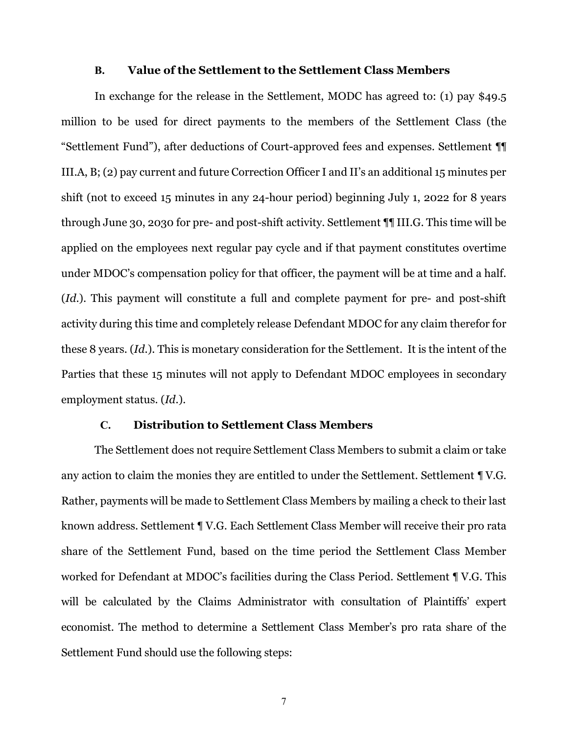#### **B. Value of the Settlement to the Settlement Class Members**

In exchange for the release in the Settlement, MODC has agreed to: (1) pay \$49.5 million to be used for direct payments to the members of the Settlement Class (the "Settlement Fund"), after deductions of Court-approved fees and expenses. Settlement ¶¶ III.A, B; (2) pay current and future Correction Officer I and II's an additional 15 minutes per shift (not to exceed 15 minutes in any 24-hour period) beginning July 1, 2022 for 8 years through June 30, 2030 for pre- and post-shift activity. Settlement ¶¶ III.G. This time will be applied on the employees next regular pay cycle and if that payment constitutes overtime under MDOC's compensation policy for that officer, the payment will be at time and a half. (*Id*.). This payment will constitute a full and complete payment for pre- and post-shift activity during this time and completely release Defendant MDOC for any claim therefor for these 8 years. (*Id*.). This is monetary consideration for the Settlement. It is the intent of the Parties that these 15 minutes will not apply to Defendant MDOC employees in secondary employment status. (*Id*.).

### **C. Distribution to Settlement Class Members**

The Settlement does not require Settlement Class Members to submit a claim or take any action to claim the monies they are entitled to under the Settlement. Settlement ¶ V.G. Rather, payments will be made to Settlement Class Members by mailing a check to their last known address. Settlement ¶ V.G. Each Settlement Class Member will receive their pro rata share of the Settlement Fund, based on the time period the Settlement Class Member worked for Defendant at MDOC's facilities during the Class Period. Settlement ¶ V.G. This will be calculated by the Claims Administrator with consultation of Plaintiffs' expert economist. The method to determine a Settlement Class Member's pro rata share of the Settlement Fund should use the following steps: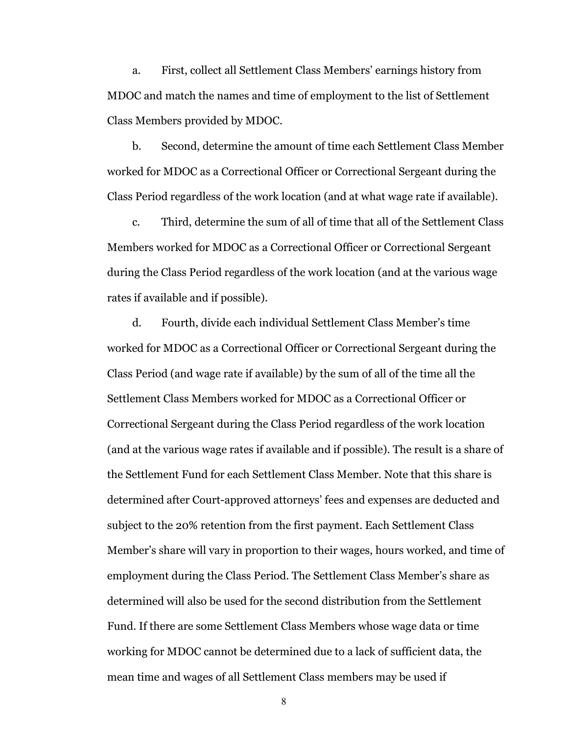a. First, collect all Settlement Class Members' earnings history from MDOC and match the names and time of employment to the list of Settlement Class Members provided by MDOC.

b. Second, determine the amount of time each Settlement Class Member worked for MDOC as a Correctional Officer or Correctional Sergeant during the Class Period regardless of the work location (and at what wage rate if available).

c. Third, determine the sum of all of time that all of the Settlement Class Members worked for MDOC as a Correctional Officer or Correctional Sergeant during the Class Period regardless of the work location (and at the various wage rates if available and if possible).

d. Fourth, divide each individual Settlement Class Member's time worked for MDOC as a Correctional Officer or Correctional Sergeant during the Class Period (and wage rate if available) by the sum of all of the time all the Settlement Class Members worked for MDOC as a Correctional Officer or Correctional Sergeant during the Class Period regardless of the work location (and at the various wage rates if available and if possible). The result is a share of the Settlement Fund for each Settlement Class Member. Note that this share is determined after Court-approved attorneys' fees and expenses are deducted and subject to the 20% retention from the first payment. Each Settlement Class Member's share will vary in proportion to their wages, hours worked, and time of employment during the Class Period. The Settlement Class Member's share as determined will also be used for the second distribution from the Settlement Fund. If there are some Settlement Class Members whose wage data or time working for MDOC cannot be determined due to a lack of sufficient data, the mean time and wages of all Settlement Class members may be used if

8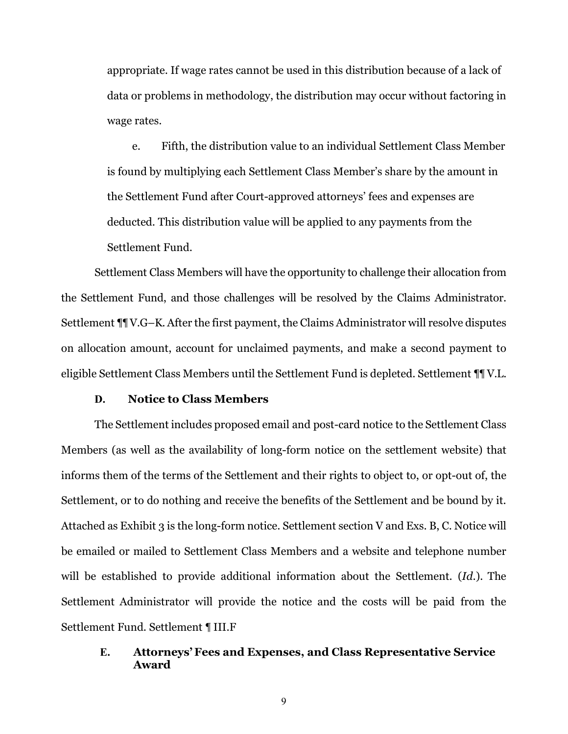appropriate. If wage rates cannot be used in this distribution because of a lack of data or problems in methodology, the distribution may occur without factoring in wage rates.

e. Fifth, the distribution value to an individual Settlement Class Member is found by multiplying each Settlement Class Member's share by the amount in the Settlement Fund after Court-approved attorneys' fees and expenses are deducted. This distribution value will be applied to any payments from the Settlement Fund.

Settlement Class Members will have the opportunity to challenge their allocation from the Settlement Fund, and those challenges will be resolved by the Claims Administrator. Settlement ¶¶ V.G–K. After the first payment, the Claims Administrator will resolve disputes on allocation amount, account for unclaimed payments, and make a second payment to eligible Settlement Class Members until the Settlement Fund is depleted. Settlement ¶¶ V.L.

## **D. Notice to Class Members**

The Settlement includes proposed email and post-card notice to the Settlement Class Members (as well as the availability of long-form notice on the settlement website) that informs them of the terms of the Settlement and their rights to object to, or opt-out of, the Settlement, or to do nothing and receive the benefits of the Settlement and be bound by it. Attached as Exhibit 3 is the long-form notice. Settlement section V and Exs. B, C. Notice will be emailed or mailed to Settlement Class Members and a website and telephone number will be established to provide additional information about the Settlement. (*Id*.). The Settlement Administrator will provide the notice and the costs will be paid from the Settlement Fund. Settlement ¶ III.F

# **E. Attorneys'Fees and Expenses, and Class Representative Service Award**

9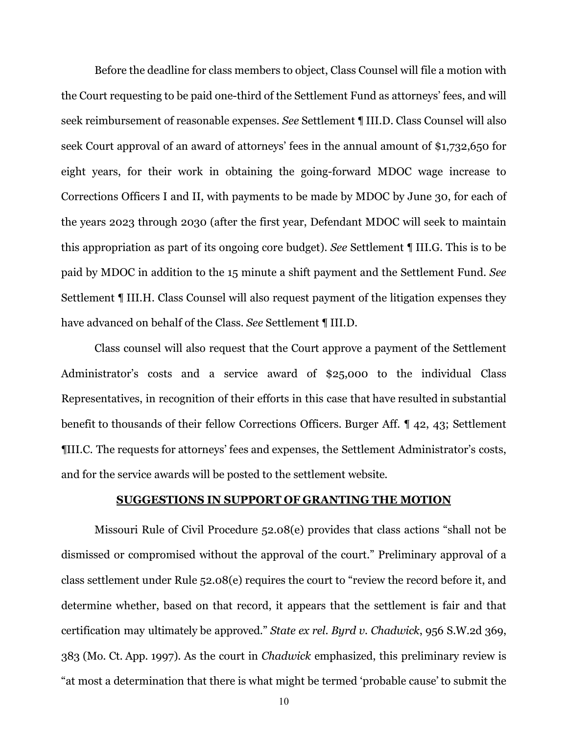Before the deadline for class members to object, Class Counsel will file a motion with the Court requesting to be paid one-third of the Settlement Fund as attorneys' fees, and will seek reimbursement of reasonable expenses. *See* Settlement ¶ III.D. Class Counsel will also seek Court approval of an award of attorneys' fees in the annual amount of \$1,732,650 for eight years, for their work in obtaining the going-forward MDOC wage increase to Corrections Officers I and II, with payments to be made by MDOC by June 30, for each of the years 2023 through 2030 (after the first year, Defendant MDOC will seek to maintain this appropriation as part of its ongoing core budget). *See* Settlement ¶ III.G. This is to be paid by MDOC in addition to the 15 minute a shift payment and the Settlement Fund. *See*  Settlement ¶ III.H. Class Counsel will also request payment of the litigation expenses they have advanced on behalf of the Class. *See* Settlement ¶ III.D.

Class counsel will also request that the Court approve a payment of the Settlement Administrator's costs and a service award of \$25,000 to the individual Class Representatives, in recognition of their efforts in this case that have resulted in substantial benefit to thousands of their fellow Corrections Officers. Burger Aff. ¶ 42, 43; Settlement ¶III.C. The requests for attorneys' fees and expenses, the Settlement Administrator's costs, and for the service awards will be posted to the settlement website.

## **SUGGESTIONS IN SUPPORT OF GRANTING THE MOTION**

Missouri Rule of Civil Procedure 52.08(e) provides that class actions "shall not be dismissed or compromised without the approval of the court." Preliminary approval of a class settlement under Rule 52.08(e) requires the court to "review the record before it, and determine whether, based on that record, it appears that the settlement is fair and that certification may ultimately be approved." *State ex rel. Byrd v. Chadwick*, 956 S.W.2d 369, 383 (Mo. Ct. App. 1997). As the court in *Chadwick* emphasized, this preliminary review is "at most a determination that there is what might be termed 'probable cause' to submit the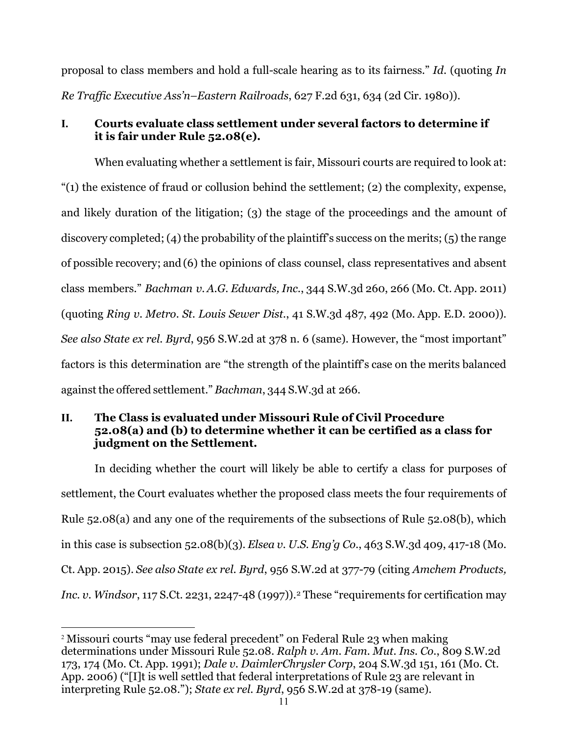proposal to class members and hold a full-scale hearing as to its fairness." *Id.* (quoting *In Re Traffic Executive Ass'n–Eastern Railroads*, 627 F.2d 631, 634 (2d Cir. 1980)).

# **I. Courts evaluate class settlement under several factors to determine if it is fair under Rule 52.08(e).**

When evaluating whether a settlement is fair, Missouri courts are required to look at:  $(1)$  the existence of fraud or collusion behind the settlement; (2) the complexity, expense, and likely duration of the litigation; (3) the stage of the proceedings and the amount of discovery completed; (4) the probability of the plaintiff's success on the merits; (5) the range of possible recovery; and (6) the opinions of class counsel, class representatives and absent class members." *Bachman v. A.G. Edwards, Inc.*, 344 S.W.3d 260, 266 (Mo. Ct. App. 2011) (quoting *Ring v. Metro. St. Louis Sewer Dist.*, 41 S.W.3d 487, 492 (Mo. App. E.D. 2000)). *See also State ex rel. Byrd*, 956 S.W.2d at 378 n. 6 (same). However, the "most important" factors is this determination are "the strength of the plaintiff's case on the merits balanced against the offered settlement." *Bachman*, 344 S.W.3d at 266.

# **II. The Class is evaluated under Missouri Rule of Civil Procedure 52.08(a) and (b) to determine whether it can be certified as a class for judgment on the Settlement.**

In deciding whether the court will likely be able to certify a class for purposes of settlement, the Court evaluates whether the proposed class meets the four requirements of Rule 52.08(a) and any one of the requirements of the subsections of Rule 52.08(b), which in this case is subsection 52.08(b)(3). *Elsea v. U.S. Eng'g Co.*, 463 S.W.3d 409, 417-18 (Mo. Ct. App. 2015). *See also State ex rel. Byrd*, 956 S.W.2d at 377-79 (citing *Amchem Products, Inc. v. Windsor*, 117 S.Ct. [2](#page-10-0)231, 2247-48 (1997).<sup>2</sup> These "requirements for certification may

<span id="page-10-0"></span><sup>2</sup> Missouri courts "may use federal precedent" on Federal Rule 23 when making determinations under Missouri Rule 52.08. *Ralph v. Am. Fam. Mut. Ins. Co.*, 809 S.W.2d 173, 174 (Mo. Ct. App. 1991); *Dale v. DaimlerChrysler Corp*, 204 S.W.3d 151, 161 (Mo. Ct. App. 2006) ("[I]t is well settled that federal interpretations of Rule 23 are relevant in interpreting Rule 52.08."); *State ex rel. Byrd*, 956 S.W.2d at 378-19 (same).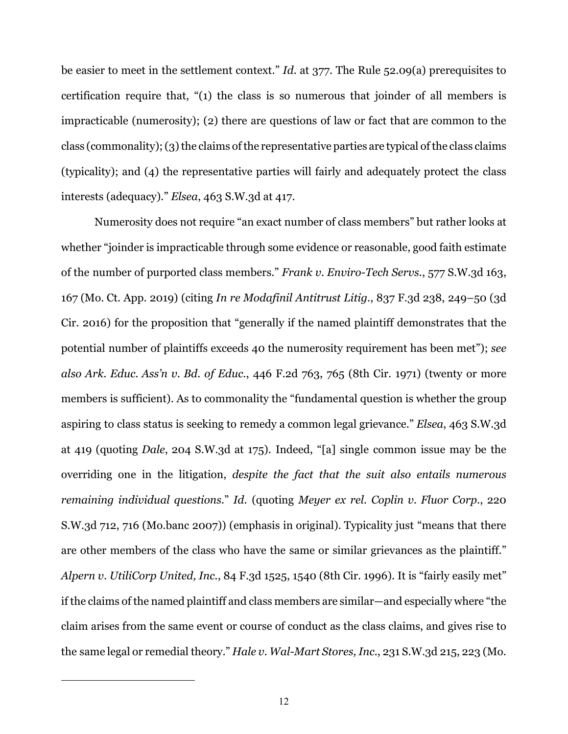be easier to meet in the settlement context." *Id.* at 377. The Rule 52.09(a) prerequisites to certification require that, "(1) the class is so numerous that joinder of all members is impracticable (numerosity); (2) there are questions of law or fact that are common to the  $class (commonality); (3)$  the claims of the representative parties are typical of the class claims (typicality); and (4) the representative parties will fairly and adequately protect the class interests (adequacy)." *Elsea*, 463 S.W.3d at 417.

Numerosity does not require "an exact number of class members" but rather looks at whether "joinder is impracticable through some evidence or reasonable, good faith estimate of the number of purported class members." *Frank v. Enviro-Tech Servs.*, 577 S.W.3d 163, 167 (Mo. Ct. App. 2019) (citing *In re Modafinil Antitrust Litig.*, 837 F.3d 238, 249–50 (3d Cir. 2016) for the proposition that "generally if the named plaintiff demonstrates that the potential number of plaintiffs exceeds 40 the numerosity requirement has been met"); *see also Ark. Educ. Ass'n v. Bd. of Educ.*, 446 F.2d 763, 765 (8th Cir. 1971) (twenty or more members is sufficient). As to commonality the "fundamental question is whether the group aspiring to class status is seeking to remedy a common legal grievance." *Elsea*, 463 S.W.3d at 419 (quoting *Dale*, 204 S.W.3d at 175). Indeed, "[a] single common issue may be the overriding one in the litigation, *despite the fact that the suit also entails numerous remaining individual questions.*" *Id.* (quoting *Meyer ex rel. Coplin v. Fluor Corp.*, 220 S.W.3d 712, 716 (Mo.banc 2007)) (emphasis in original). Typicality just "means that there are other members of the class who have the same or similar grievances as the plaintiff." *Alpern v. UtiliCorp United, Inc.*, 84 F.3d 1525, 1540 (8th Cir. 1996). It is "fairly easily met" if the claims of the named plaintiff and class members are similar—and especially where "the claim arises from the same event or course of conduct as the class claims, and gives rise to the same legal or remedial theory." *Hale v. Wal-Mart Stores, Inc.*, 231 S.W.3d 215, 223 (Mo.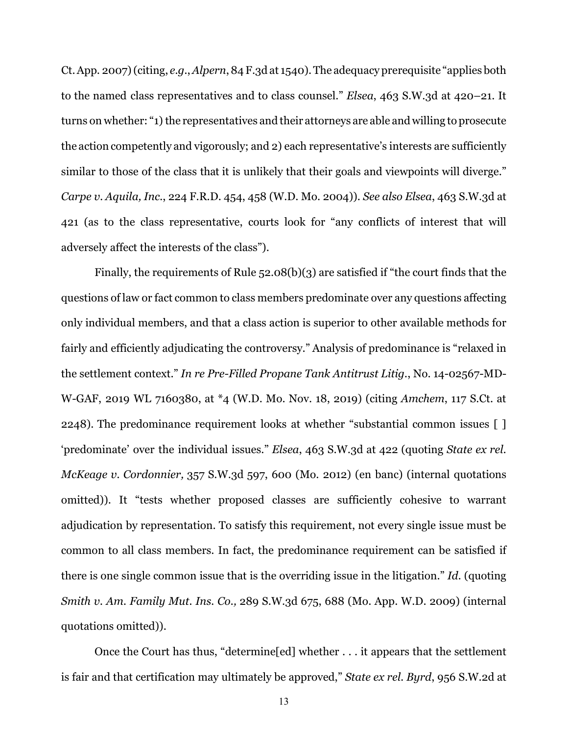Ct.App. 2007)(citing, *e.g.*,*Alpern*, 84 F.3d at 1540).The adequacy prerequisite "applies both to the named class representatives and to class counsel." *Elsea*, 463 S.W.3d at 420–21. It turns on whether: "1) the representatives and their attorneys are able and willing to prosecute the action competently and vigorously; and 2) each representative's interests are sufficiently similar to those of the class that it is unlikely that their goals and viewpoints will diverge." *Carpe v. Aquila, Inc.*, 224 F.R.D. 454, 458 (W.D. Mo. 2004)). *See also Elsea*, 463 S.W.3d at 421 (as to the class representative, courts look for "any conflicts of interest that will adversely affect the interests of the class").

Finally, the requirements of Rule 52.08(b)(3) are satisfied if "the court finds that the questions of law or fact common to class members predominate over any questions affecting only individual members, and that a class action is superior to other available methods for fairly and efficiently adjudicating the controversy." Analysis of predominance is "relaxed in the settlement context." *In re Pre-Filled Propane Tank Antitrust Litig.*, No. 14-02567-MD-W-GAF, 2019 WL 7160380, at \*4 (W.D. Mo. Nov. 18, 2019) (citing *Amchem*, 117 S.Ct. at 2248). The predominance requirement looks at whether "substantial common issues [ ] 'predominate' over the individual issues." *Elsea*, 463 S.W.3d at 422 (quoting *State ex rel. McKeage v. Cordonnier,* 357 S.W.3d 597, 600 (Mo. 2012) (en banc) (internal quotations omitted)). It "tests whether proposed classes are sufficiently cohesive to warrant adjudication by representation. To satisfy this requirement, not every single issue must be common to all class members. In fact, the predominance requirement can be satisfied if there is one single common issue that is the overriding issue in the litigation." *Id.* (quoting *Smith v. Am. Family Mut. Ins. Co.,* 289 S.W.3d 675, 688 (Mo. App. W.D. 2009) (internal quotations omitted)).

Once the Court has thus, "determine[ed] whether . . . it appears that the settlement is fair and that certification may ultimately be approved," *State ex rel. Byrd*, 956 S.W.2d at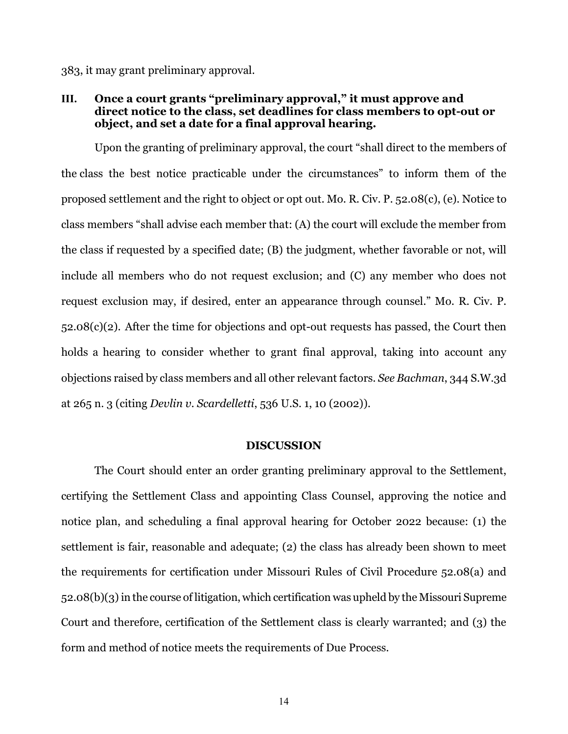383, it may grant preliminary approval.

# **III. Once a court grants "preliminary approval," it must approve and direct notice to the class, set deadlines for class members to opt-out or object, and set a date for a final approval hearing.**

Upon the granting of preliminary approval, the court "shall direct to the members of the class the best notice practicable under the circumstances" to inform them of the proposed settlement and the right to object or opt out. Mo. R. Civ. P. 52.08(c), (e). Notice to class members "shall advise each member that: (A) the court will exclude the member from the class if requested by a specified date; (B) the judgment, whether favorable or not, will include all members who do not request exclusion; and (C) any member who does not request exclusion may, if desired, enter an appearance through counsel." Mo. R. Civ. P. 52.08(c)(2). After the time for objections and opt-out requests has passed, the Court then holds a hearing to consider whether to grant final approval, taking into account any objections raised by class members and all other relevant factors. *See Bachman*, 344 S.W.3d at 265 n. 3 (citing *Devlin v. Scardelletti*, 536 U.S. 1, 10 (2002)).

### **DISCUSSION**

The Court should enter an order granting preliminary approval to the Settlement, certifying the Settlement Class and appointing Class Counsel, approving the notice and notice plan, and scheduling a final approval hearing for October 2022 because: (1) the settlement is fair, reasonable and adequate; (2) the class has already been shown to meet the requirements for certification under Missouri Rules of Civil Procedure 52.08(a) and 52.08(b)(3)in the course of litigation, which certification was upheld by the Missouri Supreme Court and therefore, certification of the Settlement class is clearly warranted; and (3) the form and method of notice meets the requirements of Due Process.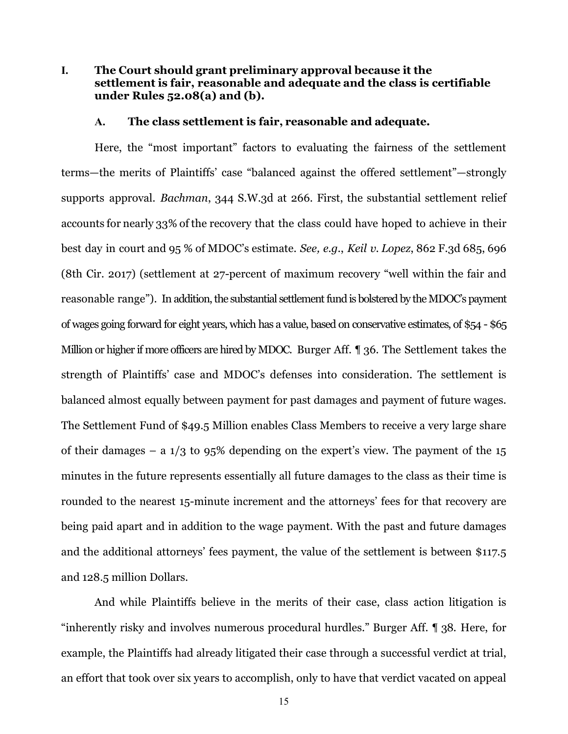# **I. The Court should grant preliminary approval because it the settlement is fair, reasonable and adequate and the class is certifiable under Rules 52.08(a) and (b).**

#### **A. The class settlement is fair, reasonable and adequate.**

Here, the "most important" factors to evaluating the fairness of the settlement terms—the merits of Plaintiffs' case "balanced against the offered settlement"—strongly supports approval. *Bachman*, 344 S.W.3d at 266. First, the substantial settlement relief accounts for nearly 33% of the recovery that the class could have hoped to achieve in their best day in court and 95 % of MDOC's estimate. *See, e.g.*, *Keil v. Lopez*, 862 F.3d 685, 696 (8th Cir. 2017) (settlement at 27-percent of maximum recovery "well within the fair and reasonable range"). In addition, the substantial settlement fund is bolstered by the MDOC's payment of wages going forward for eight years, which has a value, based on conservative estimates, of \$54 - \$65 Million or higher if more officers are hired by MDOC. Burger Aff. 1 36. The Settlement takes the strength of Plaintiffs' case and MDOC's defenses into consideration. The settlement is balanced almost equally between payment for past damages and payment of future wages. The Settlement Fund of \$49.5 Million enables Class Members to receive a very large share of their damages – a  $1/3$  to 95% depending on the expert's view. The payment of the  $15$ minutes in the future represents essentially all future damages to the class as their time is rounded to the nearest 15-minute increment and the attorneys' fees for that recovery are being paid apart and in addition to the wage payment. With the past and future damages and the additional attorneys' fees payment, the value of the settlement is between \$117.5 and 128.5 million Dollars.

And while Plaintiffs believe in the merits of their case, class action litigation is "inherently risky and involves numerous procedural hurdles." Burger Aff. ¶ 38. Here, for example, the Plaintiffs had already litigated their case through a successful verdict at trial, an effort that took over six years to accomplish, only to have that verdict vacated on appeal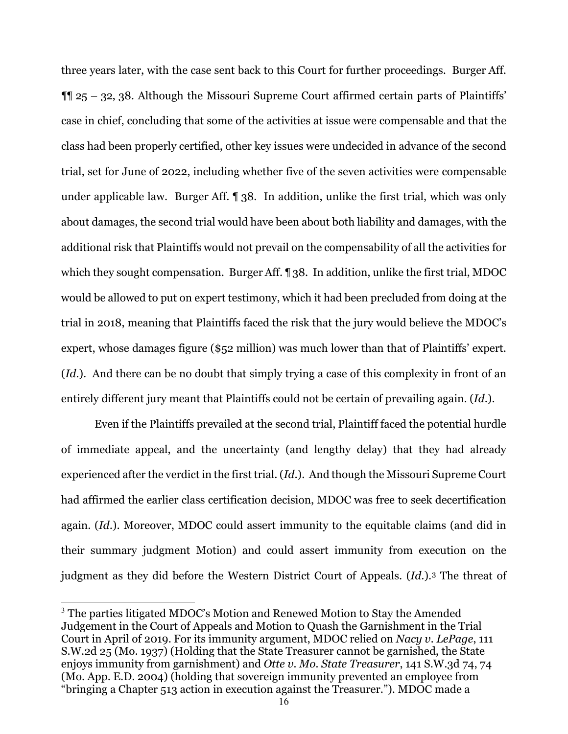three years later, with the case sent back to this Court for further proceedings. Burger Aff.  $\P$  25 – 32, 38. Although the Missouri Supreme Court affirmed certain parts of Plaintiffs' case in chief, concluding that some of the activities at issue were compensable and that the class had been properly certified, other key issues were undecided in advance of the second trial, set for June of 2022, including whether five of the seven activities were compensable under applicable law. Burger Aff. ¶ 38. In addition, unlike the first trial, which was only about damages, the second trial would have been about both liability and damages, with the additional risk that Plaintiffs would not prevail on the compensability of all the activities for which they sought compensation. Burger Aff. 138. In addition, unlike the first trial, MDOC would be allowed to put on expert testimony, which it had been precluded from doing at the trial in 2018, meaning that Plaintiffs faced the risk that the jury would believe the MDOC's expert, whose damages figure (\$52 million) was much lower than that of Plaintiffs' expert. (*Id.*). And there can be no doubt that simply trying a case of this complexity in front of an entirely different jury meant that Plaintiffs could not be certain of prevailing again. (*Id*.).

Even if the Plaintiffs prevailed at the second trial, Plaintiff faced the potential hurdle of immediate appeal, and the uncertainty (and lengthy delay) that they had already experienced after the verdict in the first trial. (*Id*.). And though the Missouri Supreme Court had affirmed the earlier class certification decision, MDOC was free to seek decertification again. (*Id*.). Moreover, MDOC could assert immunity to the equitable claims (and did in their summary judgment Motion) and could assert immunity from execution on the judgment as they did before the Western District Court of Appeals. (*Id*.).[3](#page-15-0) The threat of

<span id="page-15-0"></span><sup>&</sup>lt;sup>3</sup> The parties litigated MDOC's Motion and Renewed Motion to Stay the Amended Judgement in the Court of Appeals and Motion to Quash the Garnishment in the Trial Court in April of 2019. For its immunity argument, MDOC relied on *Nacy v. LePage*, 111 S.W.2d 25 (Mo. 1937) (Holding that the State Treasurer cannot be garnished, the State enjoys immunity from garnishment) and *Otte v. Mo. State Treasurer*, 141 S.W.3d 74, 74 (Mo. App. E.D. 2004) (holding that sovereign immunity prevented an employee from "bringing a Chapter 513 action in execution against the Treasurer."). MDOC made a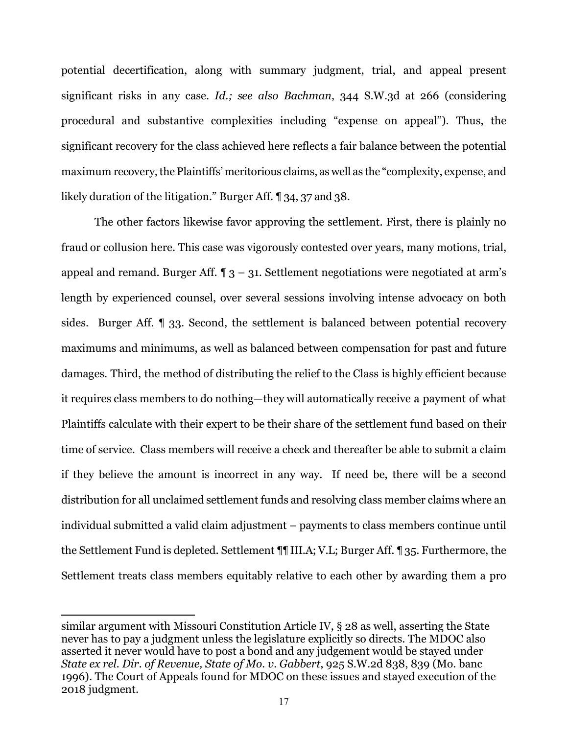potential decertification, along with summary judgment, trial, and appeal present significant risks in any case. *Id.; see also Bachman*, 344 S.W.3d at 266 (considering procedural and substantive complexities including "expense on appeal"). Thus, the significant recovery for the class achieved here reflects a fair balance between the potential maximum recovery, the Plaintiffs' meritorious claims, as well as the "complexity, expense, and likely duration of the litigation." Burger Aff. ¶ 34, 37 and 38.

The other factors likewise favor approving the settlement. First, there is plainly no fraud or collusion here. This case was vigorously contested over years, many motions, trial, appeal and remand. Burger Aff.  $\P_3$  – 31. Settlement negotiations were negotiated at arm's length by experienced counsel, over several sessions involving intense advocacy on both sides. Burger Aff. ¶ 33. Second, the settlement is balanced between potential recovery maximums and minimums, as well as balanced between compensation for past and future damages. Third, the method of distributing the relief to the Class is highly efficient because it requires class members to do nothing—they will automatically receive a payment of what Plaintiffs calculate with their expert to be their share of the settlement fund based on their time of service. Class members will receive a check and thereafter be able to submit a claim if they believe the amount is incorrect in any way. If need be, there will be a second distribution for all unclaimed settlement funds and resolving class member claims where an individual submitted a valid claim adjustment – payments to class members continue until the Settlement Fund is depleted. Settlement ¶¶ III.A; V.L; Burger Aff. ¶ 35. Furthermore, the Settlement treats class members equitably relative to each other by awarding them a pro

similar argument with Missouri Constitution Article IV, § 28 as well, asserting the State never has to pay a judgment unless the legislature explicitly so directs. The MDOC also asserted it never would have to post a bond and any judgement would be stayed under *State ex rel. Dir. of Revenue, State of Mo. v. Gabbert*, 925 S.W.2d 838, 839 (Mo. banc 1996). The Court of Appeals found for MDOC on these issues and stayed execution of the 2018 judgment.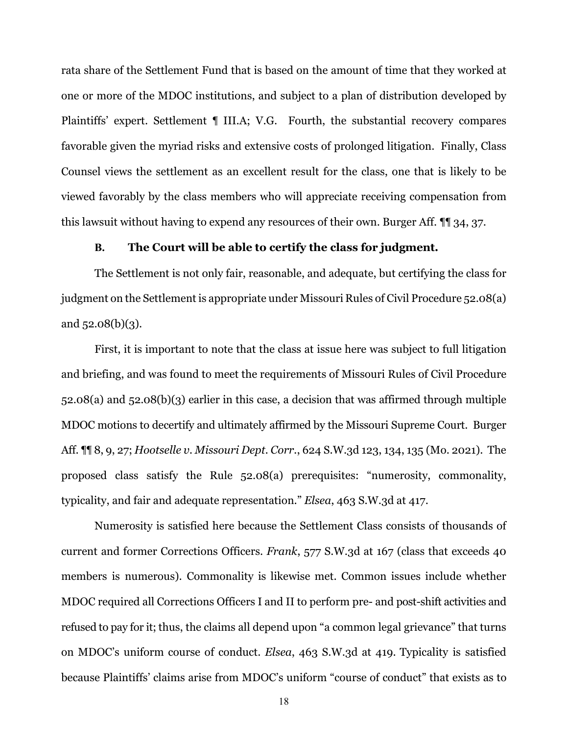rata share of the Settlement Fund that is based on the amount of time that they worked at one or more of the MDOC institutions, and subject to a plan of distribution developed by Plaintiffs' expert. Settlement ¶ III.A; V.G. Fourth, the substantial recovery compares favorable given the myriad risks and extensive costs of prolonged litigation. Finally, Class Counsel views the settlement as an excellent result for the class, one that is likely to be viewed favorably by the class members who will appreciate receiving compensation from this lawsuit without having to expend any resources of their own. Burger Aff. ¶¶ 34, 37.

#### **B. The Court will be able to certify the class for judgment.**

The Settlement is not only fair, reasonable, and adequate, but certifying the class for judgment on the Settlement is appropriate under Missouri Rules of Civil Procedure 52.08(a) and 52.08(b)(3).

First, it is important to note that the class at issue here was subject to full litigation and briefing, and was found to meet the requirements of Missouri Rules of Civil Procedure 52.08(a) and 52.08(b)(3) earlier in this case, a decision that was affirmed through multiple MDOC motions to decertify and ultimately affirmed by the Missouri Supreme Court. Burger Aff. ¶¶ 8, 9, 27; *Hootselle v. Missouri Dept. Corr.*, 624 S.W.3d 123, 134, 135 (Mo. 2021). The proposed class satisfy the Rule 52.08(a) prerequisites: "numerosity, commonality, typicality, and fair and adequate representation." *Elsea*, 463 S.W.3d at 417.

Numerosity is satisfied here because the Settlement Class consists of thousands of current and former Corrections Officers. *Frank*, 577 S.W.3d at 167 (class that exceeds 40 members is numerous). Commonality is likewise met. Common issues include whether MDOC required all Corrections Officers I and II to perform pre- and post-shift activities and refused to pay for it; thus, the claims all depend upon "a common legal grievance" that turns on MDOC's uniform course of conduct. *Elsea*, 463 S.W.3d at 419. Typicality is satisfied because Plaintiffs' claims arise from MDOC's uniform "course of conduct" that exists as to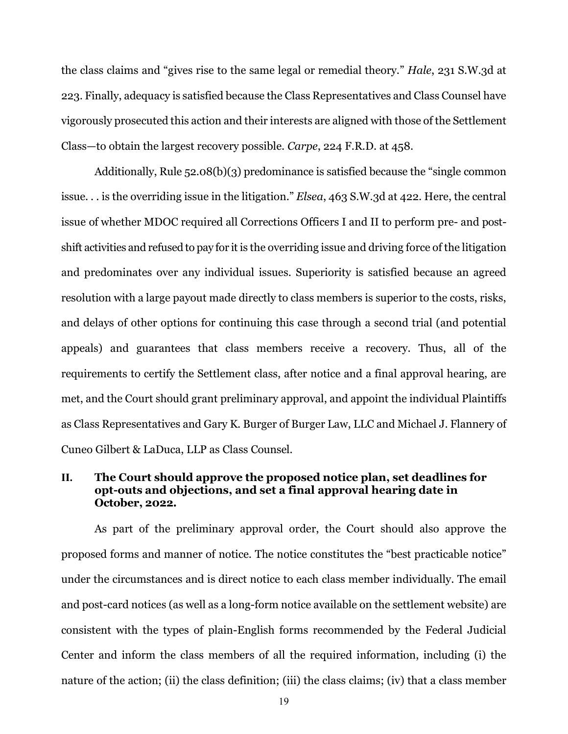the class claims and "gives rise to the same legal or remedial theory." *Hale*, 231 S.W.3d at 223. Finally, adequacy is satisfied because the Class Representatives and Class Counsel have vigorously prosecuted this action and their interests are aligned with those of the Settlement Class—to obtain the largest recovery possible. *Carpe*, 224 F.R.D. at 458.

Additionally, Rule 52.08(b)(3) predominance is satisfied because the "single common issue. . . is the overriding issue in the litigation." *Elsea*, 463 S.W.3d at 422. Here, the central issue of whether MDOC required all Corrections Officers I and II to perform pre- and postshift activities and refused to pay for it is the overriding issue and driving force of the litigation and predominates over any individual issues. Superiority is satisfied because an agreed resolution with a large payout made directly to class members is superior to the costs, risks, and delays of other options for continuing this case through a second trial (and potential appeals) and guarantees that class members receive a recovery. Thus, all of the requirements to certify the Settlement class, after notice and a final approval hearing, are met, and the Court should grant preliminary approval, and appoint the individual Plaintiffs as Class Representatives and Gary K. Burger of Burger Law, LLC and Michael J. Flannery of Cuneo Gilbert & LaDuca, LLP as Class Counsel.

# **II. The Court should approve the proposed notice plan, set deadlines for opt-outs and objections, and set a final approval hearing date in October, 2022.**

As part of the preliminary approval order, the Court should also approve the proposed forms and manner of notice. The notice constitutes the "best practicable notice" under the circumstances and is direct notice to each class member individually. The email and post-card notices (as well as a long-form notice available on the settlement website) are consistent with the types of plain-English forms recommended by the Federal Judicial Center and inform the class members of all the required information, including (i) the nature of the action; (ii) the class definition; (iii) the class claims; (iv) that a class member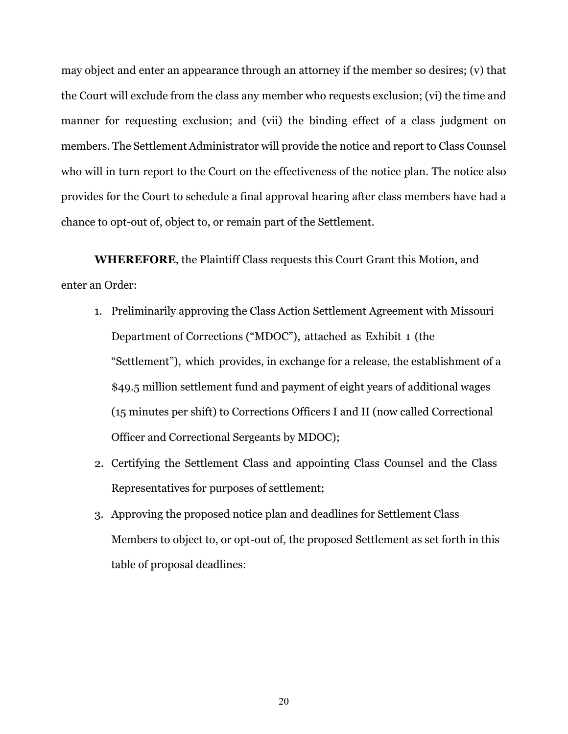may object and enter an appearance through an attorney if the member so desires; (v) that the Court will exclude from the class any member who requests exclusion; (vi) the time and manner for requesting exclusion; and (vii) the binding effect of a class judgment on members. The Settlement Administrator will provide the notice and report to Class Counsel who will in turn report to the Court on the effectiveness of the notice plan. The notice also provides for the Court to schedule a final approval hearing after class members have had a chance to opt-out of, object to, or remain part of the Settlement.

**WHEREFORE**, the Plaintiff Class requests this Court Grant this Motion, and enter an Order:

- 1. Preliminarily approving the Class Action Settlement Agreement with Missouri Department of Corrections ("MDOC"), attached as Exhibit 1 (the "Settlement"), which provides, in exchange for a release, the establishment of a \$49.5 million settlement fund and payment of eight years of additional wages (15 minutes per shift) to Corrections Officers I and II (now called Correctional Officer and Correctional Sergeants by MDOC);
- 2. Certifying the Settlement Class and appointing Class Counsel and the Class Representatives for purposes of settlement;
- 3. Approving the proposed notice plan and deadlines for Settlement Class Members to object to, or opt-out of, the proposed Settlement as set forth in this table of proposal deadlines: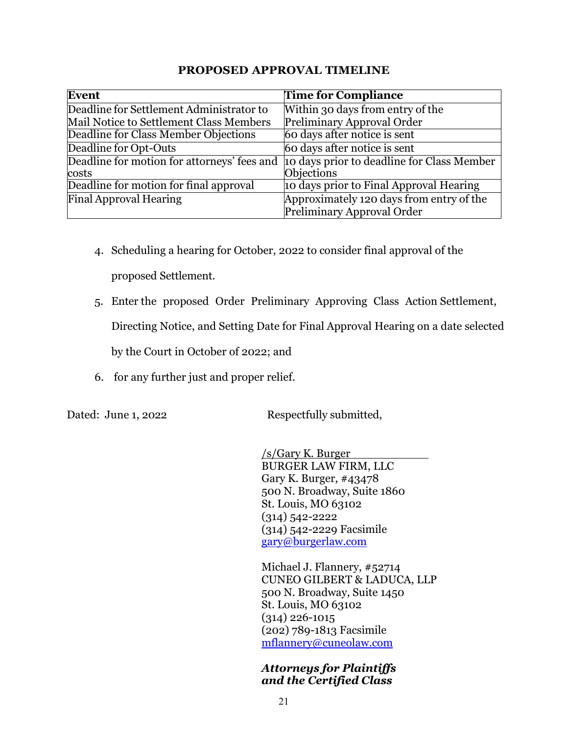# **PROPOSED APPROVAL TIMELINE**

| <b>Event</b>                                         | <b>Time for Compliance</b>                                             |
|------------------------------------------------------|------------------------------------------------------------------------|
| Deadline for Settlement Administrator to             | Within 30 days from entry of the                                       |
| Mail Notice to Settlement Class Members              | Preliminary Approval Order                                             |
| Deadline for Class Member Objections                 | 60 days after notice is sent                                           |
| Deadline for Opt-Outs                                | 60 days after notice is sent                                           |
| Deadline for motion for attorneys' fees and<br>costs | 10 days prior to deadline for Class Member<br><b>Objections</b>        |
| Deadline for motion for final approval               | 10 days prior to Final Approval Hearing                                |
| <b>Final Approval Hearing</b>                        | Approximately 120 days from entry of the<br>Preliminary Approval Order |

- 4. Scheduling a hearing for October, 2022 to consider final approval of the proposed Settlement.
- 5. Enter the proposed Order Preliminary Approving Class Action Settlement, Directing Notice, and Setting Date for Final Approval Hearing on a date selected by the Court in October of 2022; and
- 6. for any further just and proper relief.

Dated: June 1, 2022 Respectfully submitted,

 /s/Gary K. Burger BURGER LAW FIRM, LLC Gary K. Burger, #43478 500 N. Broadway, Suite 1860 St. Louis, MO 63102 (314) 542-2222 (314) 542-2229 Facsimile [gary@burgerlaw.com](mailto:gary@burgerlaw.com) 

 Michael J. Flannery, #52714 CUNEO GILBERT & LADUCA, LLP 500 N. Broadway, Suite 1450 St. Louis, MO 63102 (314) 226-1015 (202) 789-1813 Facsimile [mflannery@cuneolaw.com](mailto:mflannery@cuneolaw.com) 

*Attorneys for Plaintiffs and the Certified Class*